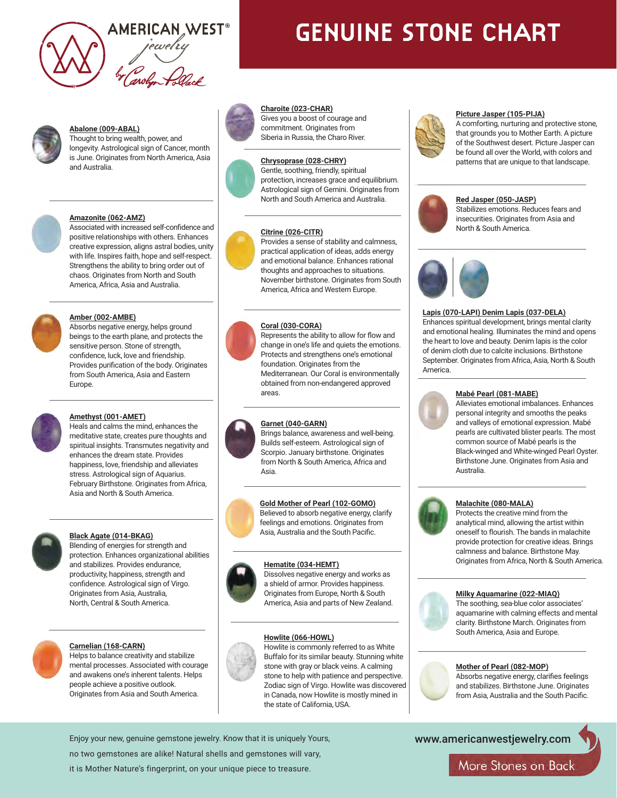

# **GENUINE STONE CHART**



## **Abalone (009-ABAL)**

Thought to bring wealth, power, and longevity. Astrological sign of Cancer, month is June. Originates from North America, Asia and Australia.



#### **Amazonite (062-AMZ)**

Associated with increased self-confidence and positive relationships with others. Enhances creative expression, aligns astral bodies, unity with life. Inspires faith, hope and self-respect. Strengthens the ability to bring order out of chaos. Originates from North and South America, Africa, Asia and Australia.



#### **Amber (002-AMBE)**

Absorbs negative energy, helps ground beings to the earth plane, and protects the sensitive person. Stone of strength, confidence, luck, love and friendship. Provides purification of the body. Originates from South America, Asia and Eastern Europe.



#### **Amethyst (001-AMET)**

Heals and calms the mind, enhances the meditative state, creates pure thoughts and spiritual insights. Transmutes negativity and enhances the dream state. Provides happiness, love, friendship and alleviates stress. Astrological sign of Aquarius. February Birthstone. Originates from Africa, Asia and North & South America.



### **Black Agate (014-BKAG)**

Blending of energies for strength and protection. Enhances organizational abilities and stabilizes. Provides endurance, productivity, happiness, strength and confidence. Astrological sign of Virgo. Originates from Asia, Australia, North, Central & South America.



#### **Carnelian (168-CARN)**

Helps to balance creativity and stabilize mental processes. Associated with courage and awakens one's inherent talents. Helps people achieve a positive outlook. Originates from Asia and South America.



#### **Charoite (023-CHAR)**

Gives you a boost of courage and commitment. Originates from Siberia in Russia, the Charo River.



Gentle, soothing, friendly, spiritual protection, increases grace and equilibrium. Astrological sign of Gemini. Originates from North and South America and Australia.

### **Citrine (026-CITR)**

Provides a sense of stability and calmness, practical application of ideas, adds energy and emotional balance. Enhances rational thoughts and approaches to situations. November birthstone. Originates from South America, Africa and Western Europe.

#### **Coral (030-CORA)**



Represents the ability to allow for flow and change in one's life and quiets the emotions. Protects and strengthens one's emotional foundation. Originates from the Mediterranean. Our Coral is environmentally obtained from non-endangered approved areas.

#### **Garnet (040-GARN)**



Brings balance, awareness and well-being. Builds self-esteem. Astrological sign of Scorpio. January birthstone. Originates from North & South America, Africa and Asia.

**Gold Mother of Pearl (102-GOMO)** Believed to absorb negative energy, clarify feelings and emotions. Originates from Asia, Australia and the South Pacific.

#### **Hematite (034-HEMT)**



Dissolves negative energy and works as a shield of armor. Provides happiness. Originates from Europe, North & South America, Asia and parts of New Zealand.

#### **Howlite (066-HOWL)**



Howlite is commonly referred to as White Buffalo for its similar beauty. Stunning white stone with gray or black veins. A calming stone to help with patience and perspective. Zodiac sign of Virgo. Howlite was discovered in Canada, now Howlite is mostly mined in the state of California, USA.

#### **Picture Jasper (105-PIJA)**

A comforting, nurturing and protective stone, that grounds you to Mother Earth. A picture of the Southwest desert. Picture Jasper can be found all over the World, with colors and patterns that are unique to that landscape.



#### **Red Jasper (050-JASP)**

Stabilizes emotions. Reduces fears and insecurities. Originates from Asia and North & South America.



#### **Lapis (070-LAPI) Denim Lapis (037-DELA)**

Enhances spiritual development, brings mental clarity and emotional healing. Illuminates the mind and opens the heart to love and beauty. Denim lapis is the color of denim cloth due to calcite inclusions. Birthstone September. Originates from Africa, Asia, North & South America.



#### **Mabé Pearl (081-MABE)**

Alleviates emotional imbalances. Enhances personal integrity and smooths the peaks and valleys of emotional expression. Mabé pearls are cultivated blister pearls. The most common source of Mabé pearls is the Black-winged and White-winged Pearl Oyster. Birthstone June. Originates from Asia and Australia.



#### Protects the creative mind from the analytical mind, allowing the artist within oneself to flourish. The bands in malachite provide protection for creative ideas. Brings calmness and balance. Birthstone May. Originates from Africa, North & South America.



#### **Milky Aquamarine (022-MIAQ)**

The soothing, sea-blue color associates' aquamarine with calming effects and mental clarity. Birthstone March. Originates from South America, Asia and Europe.

#### **Mother of Pearl (082-MOP)**

Absorbs negative energy, clarifies feelings and stabilizes. Birthstone June. Originates from Asia, Australia and the South Pacific.

Enjoy your new, genuine gemstone jewelry. Know that it is uniquely Yours, no two gemstones are alike! Natural shells and gemstones will vary, it is Mother Nature's fingerprint, on your unique piece to treasure.

www.americanwestjewelry.com

More Stones on Back